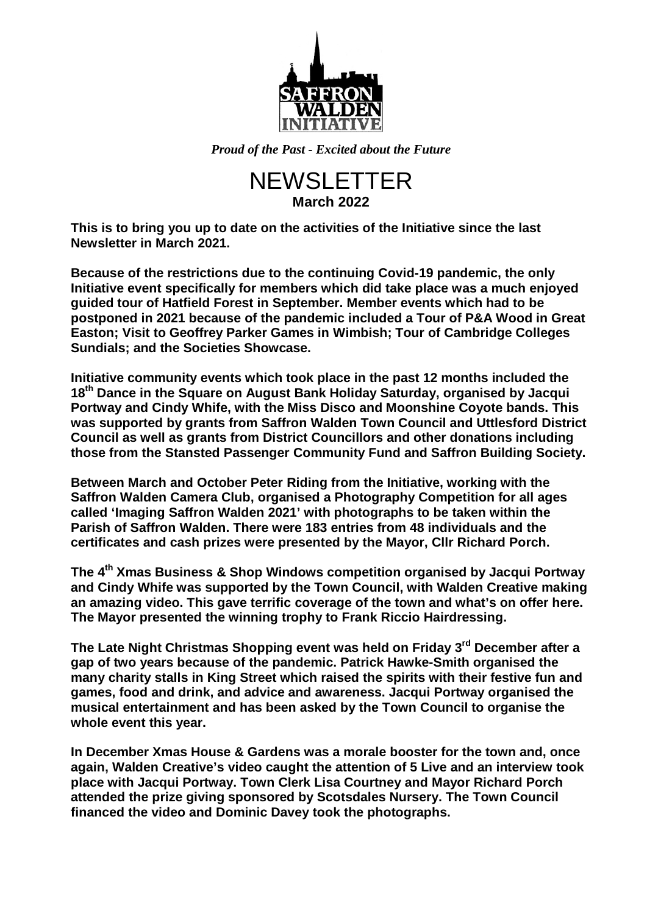

*Proud of the Past - Excited about the Future*

## NEWSLETTER **March 2022**

**This is to bring you up to date on the activities of the Initiative since the last Newsletter in March 2021.**

**Because of the restrictions due to the continuing Covid-19 pandemic, the only Initiative event specifically for members which did take place was a much enjoyed guided tour of Hatfield Forest in September. Member events which had to be postponed in 2021 because of the pandemic included a Tour of P&A Wood in Great Easton; Visit to Geoffrey Parker Games in Wimbish; Tour of Cambridge Colleges Sundials; and the Societies Showcase.**

**Initiative community events which took place in the past 12 months included the 18th Dance in the Square on August Bank Holiday Saturday, organised by Jacqui Portway and Cindy Whife, with the Miss Disco and Moonshine Coyote bands. This was supported by grants from Saffron Walden Town Council and Uttlesford District Council as well as grants from District Councillors and other donations including those from the Stansted Passenger Community Fund and Saffron Building Society.**

**Between March and October Peter Riding from the Initiative, working with the Saffron Walden Camera Club, organised a Photography Competition for all ages called 'Imaging Saffron Walden 2021' with photographs to be taken within the Parish of Saffron Walden. There were 183 entries from 48 individuals and the certificates and cash prizes were presented by the Mayor, Cllr Richard Porch.**

**The 4th Xmas Business & Shop Windows competition organised by Jacqui Portway and Cindy Whife was supported by the Town Council, with Walden Creative making an amazing video. This gave terrific coverage of the town and what's on offer here. The Mayor presented the winning trophy to Frank Riccio Hairdressing.**

**The Late Night Christmas Shopping event was held on Friday 3rd December after a gap of two years because of the pandemic. Patrick Hawke-Smith organised the many charity stalls in King Street which raised the spirits with their festive fun and games, food and drink, and advice and awareness. Jacqui Portway organised the musical entertainment and has been asked by the Town Council to organise the whole event this year.**

**In December Xmas House & Gardens was a morale booster for the town and, once again, Walden Creative's video caught the attention of 5 Live and an interview took place with Jacqui Portway. Town Clerk Lisa Courtney and Mayor Richard Porch attended the prize giving sponsored by Scotsdales Nursery. The Town Council financed the video and Dominic Davey took the photographs.**